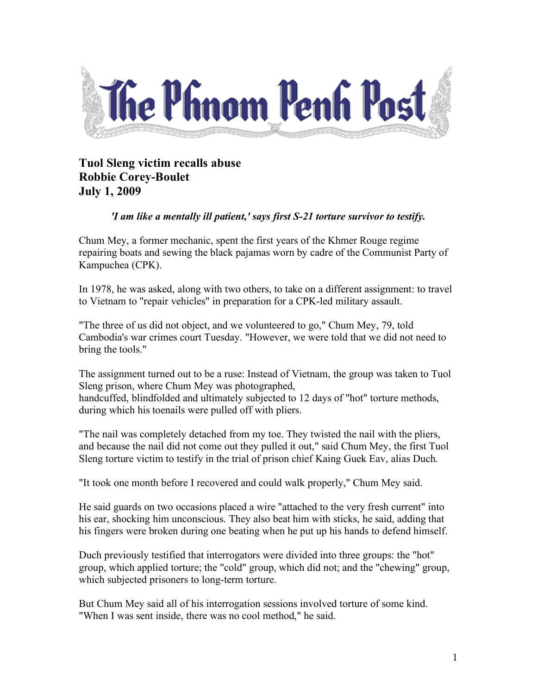

## **Tuol Sleng victim recalls abuse Robbie Corey-Boulet July 1, 2009**

## *'I am like a mentally ill patient,' says first S-21 torture survivor to testify.*

Chum Mey, a former mechanic, spent the first years of the Khmer Rouge regime repairing boats and sewing the black pajamas worn by cadre of the Communist Party of Kampuchea (CPK).

In 1978, he was asked, along with two others, to take on a different assignment: to travel to Vietnam to "repair vehicles" in preparation for a CPK-led military assault.

"The three of us did not object, and we volunteered to go," Chum Mey, 79, told Cambodia's war crimes court Tuesday. "However, we were told that we did not need to bring the tools."

The assignment turned out to be a ruse: Instead of Vietnam, the group was taken to Tuol Sleng prison, where Chum Mey was photographed, handcuffed, blindfolded and ultimately subjected to 12 days of "hot" torture methods, during which his toenails were pulled off with pliers.

"The nail was completely detached from my toe. They twisted the nail with the pliers, and because the nail did not come out they pulled it out," said Chum Mey, the first Tuol Sleng torture victim to testify in the trial of prison chief Kaing Guek Eav, alias Duch.

"It took one month before I recovered and could walk properly," Chum Mey said.

He said guards on two occasions placed a wire "attached to the very fresh current" into his ear, shocking him unconscious. They also beat him with sticks, he said, adding that his fingers were broken during one beating when he put up his hands to defend himself.

Duch previously testified that interrogators were divided into three groups: the "hot" group, which applied torture; the "cold" group, which did not; and the "chewing" group, which subjected prisoners to long-term torture.

But Chum Mey said all of his interrogation sessions involved torture of some kind. "When I was sent inside, there was no cool method," he said.